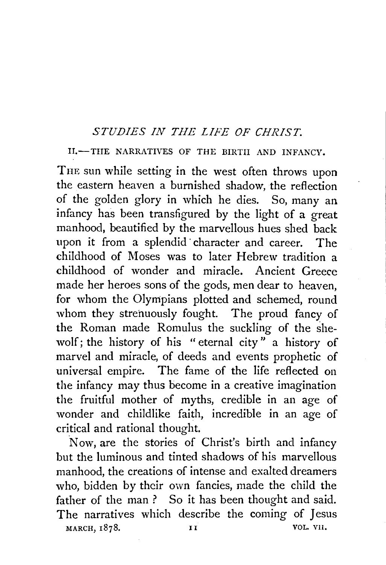## *STUDIES IN THE LIFE OF CHRIST.*

II.-THE NARRATIVES OF THE BIRTH AND INFANCY.

THE sun while setting in the west often throws upon the eastern heaven a burnished shadow, the reflection of the golden glory in which he dies. So, many an infancy has been transfigured by the light of a great manhood, beautified by the marvellous hues shed back upon it from a splendid· character and career. The childhood of Moses was to later Hebrew tradition a childhood of wonder and miracle. Ancient Greece made her heroes sons of the gods, men dear to heaven, for whom the Olympians plotted and schemed, round whom they strenuously fought. The proud fancy of the Roman made Romulus the suckling of the shewolf; the history of his " eternal city" a history of marvel and miracle, of deeds and events prophetic of universal empire. The fame of the life reflected on the infancy may thus become in a creative imagination the fruitful mother of myths, credible in an age of wonder and childlike faith, incredible in an age of critical and rational thought.

Now, are the stories of Christ's birth and infancy but the luminous and tinted shadows of his marvellous manhood, the creations of intense and exalted dreamers who, bidden by their own fancies, made the child the father of the man ? So it has been thought and said. The narratives which describe the coming of Jesus MARCH, 1878. **II VOL. VII.**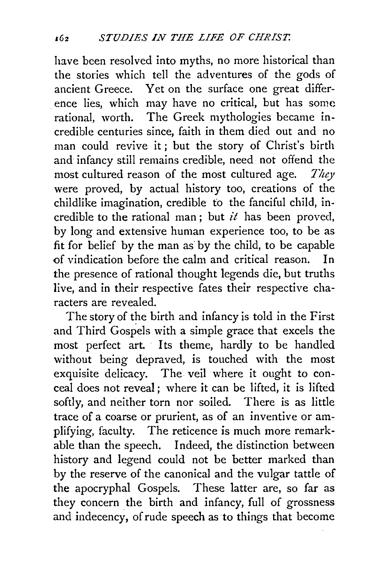have been resolved into myths, no more historical than the stories which tell the adventures of the gods of ancient Greece. Yet on the surface one great difference lies, which may have no critical, but has some rational, worth. The Greek mythologies became incredible centuries since, faith in them died out and no man could revive it; but the story of Christ's birth and infancy still remains credible, need not offend the most cultured reason of the most cultured age. *They*  were proved, by actual history too, creations of the childlike imagination, credible to the fanciful child, incredible to the rational man ; but *it* has been proved, by long and extensive human experience too, to be as fit for belief by the man as by the child, to be capable of vindication before the calm and critical reason. In the presence of rational thought legends die, but truths live, and in their respective fates their respective characters are revealed.

The story of the birth and infancy is told in the First and Third Gospels with a simple grace that excels the most perfect art. Its theme, hardly to be handled without being depraved, is touched with the most exquisite delicacy. The veil where it ought to conceal does not reveal; where it can be lifted, it is 1ifted softly, and neither torn nor soiled. There is as little trace of a coarse or prurient, as of an inventive or amplifying, faculty. The reticence is much more remarkable than the speech. Indeed, the distinction between history and legend could not be better marked than by the reserve of the canonical and the vulgar tattle of the apocryphal Gospels. These latter are, so far as they concern the birth and infancy, full of grossness and indecency, of rude speech as to things that become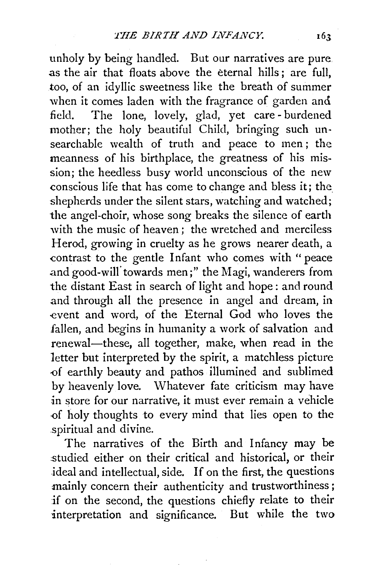unholy by being handled. But our narratives are pure. as the air that floats above the eternal hills; are full, too, of an idyllic sweetness like the breath of summer when it comes laden with the fragrance of garden and field. The lone, lovely, glad, yet care- burdened mother; the holy beautiful Child, bringing such unsearchable wealth of truth and peace to men; the meanness of his birthplace, the greatness of his mission; the heedless busy world unconscious of the new conscious life that has come to change and bless it; the shepherds under the silent stars, watching and watched; the angel-choir, whose song breaks the silence of earth with the music of heaven; the wretched and merciless Herod, growing in cruelty as he grows nearer death, a contrast to the gentle Infant who comes with "peace .and good-will' towards men;" the Magi, wanderers from the distant East in search of light and hope : and round and through all the presence in angel and dream, in event and word, of the Eternal God who loves the fallen, and begins in humanity a work of salvation and renewal-these, all together, make, when read in the letter but interpreted by the spirit, a matchless picture -of earthly beauty and pathos illumined and sublimed by heavenly love. Whatever fate criticism may have in store for our narrative, it must ever remain a vehicle -of holy thoughts to every mind that lies open to the spiritual and divine.

The narratives of the Birth and Infancy may be studied either on their critical and historical, or their ideal and intellectual, side. If on the first, the questions mainly concern their authenticity and trustworthiness; if on the second, the questions chiefly relate to their interpretation and significance. But while the two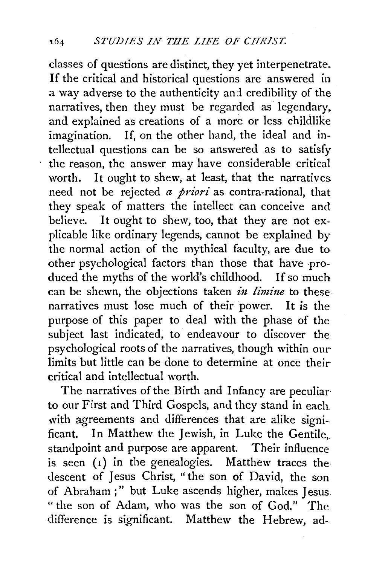classes of questions are distinct, they yet interpenetrate. If the critical and historical questions are answered in a way adverse to the authenticity and credibility of the narratives, then they must be regarded as legendary, and explained as creations of a more or less childlike imagination. If, on the other hand, the ideal and intellectual questions can be so answered as to satisfy the reason, the answer may have considerable critical worth. It ought to shew, at least, that the narratives need not be rejected *a priori* as contra-rational, that they speak of matters the intellect can conceive and believe. It ought to shew, too, that they are not explicable like ordinary legends, cannot be explained by the normal action of the mythical faculty, are due to other psychological factors than those that have produced the myths of the world's childhood. If so much can be shewn, the objections taken *in limine* to these narratives must lose much of their power. It is the purpose of this paper to deal with the phase of the subject last indicated, to endeavour to discover the psychological roots of the narratives, though within our limits but little can be done to determine at once their critical and intellectual worth.

The narratives of the Birth and Infancy are peculiar· to our First and Third Gospels, and they stand in each with agreements and differences that are alike significant. In Matthew the Jewish, in Luke the Gentile,. standpoint and purpose are apparent. Their influence is seen  $(1)$  in the genealogies. Matthew traces the descent of Jesus Christ, "the son of David, the son of Abraham ; " but Luke ascends higher, makes Jesus. "the son of Adam, who was the son of God." The difference is significant. Matthew the Hebrew, ad-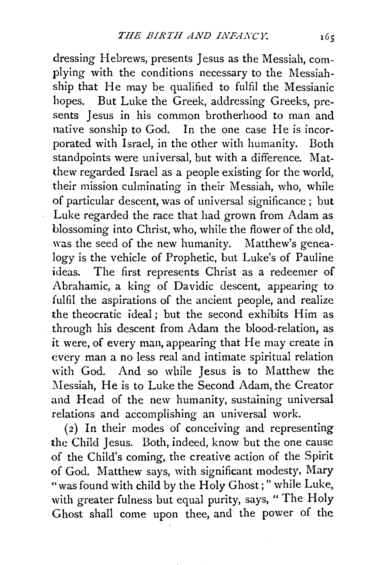dressing Hebrews, presents Jesus as the Messiah, complying with the conditions necessary to the Messiahship that He may be qualified to fulfil the Messianic hopes. But Luke the Greek, addressing Greeks, presents Jesus in his common brotherhood to man and native sonship to God. In the one case He is incorporated with Israel, in the other with humanity. Both standpoints were universal, but with a difference. Matthew regarded Israel as a people existing for the world, their mission culminating in their Messiah, who, while of particular descent, was of universal significance; but Luke regarded the race that had grown from Adam as blossoming into Christ, who, while the flower of the old, was the seed of the new humanity. Matthew's genealogy is the vehicle of Prophetic, but Luke's of Pauline ideas. The first represents Christ as a redeemer of Abrahamic, a king of Davidic descent, appearing to fulfil the aspirations of the ancient people, and realize the theocratic ideal ; but the second exhibits Him as through his descent from Adam the blood-relation, as it were, of every man, appearing that He may create in every man a no less real and intimate spiritual relation with God. And so while Jesus is to Matthew the Messiah, He is to Luke the Second Adam, the Creator and Head of the new humanity, sustaining universal relations and accomplishing an universal work.

(2) In their modes of conceiving and representing the Child Jesus. Both, indeed, know but the one cause of the Child's coming, the creative action of the Spirit of God. Matthew says, with significant modesty, Mary "was found with child by the Holy Ghost;" while Luke, with greater fulness but equal purity, says, " The Holy Ghost shall come upon thee, and the power of the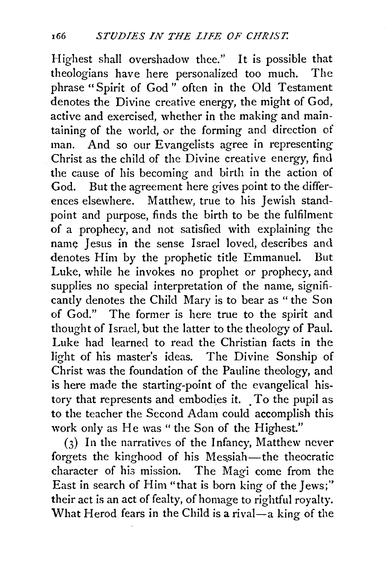Highest shall overshadow thee." It is possible that theologians have here personalized too much. The phrase "Spirit of God" often in the Old Testament denotes the Divine creative energy, the might of God, active and exercised, whether in the making and maintaining of the world, or the forming and direction of man. And so our Evangelists agree in representing Christ as the child of the Divine creative energy, find the cause of his becoming and birth in the action of God. But the agreement here gives point to the differences elsewhere. Matthew, true to his Jewish standpoint and purpose, finds the birth to be the fulfilment of a prophecy, and not satisfied with explaining the name Jesus in the sense Israel loved, describes and denotes Him by the prophetic title Emmanuel. But Luke, while he invokes no prophet or prophecy, and supplies no special interpretation of the name, significantly denotes the Child Mary is to bear as " the Son of God." The former is here true to the spirit and thought of Israel, but the latter to the theology of Paul. Luke had learned to read the Christian facts in the light of his master's ideas. The Divine Sonship of Christ was the foundation of the Pauline theology, and is here made the starting-point of the evangelical history that represents and embodies it. To the pupil as to the teacher the Second Adam could accomplish this work only as He was" the Son of the Highest."

(3) In the narratives of the Infancy, Matthew never forgets the kinghood of his Messiah-the theocratic character of his mission. The Magi come from the East in search of Him "that is born king of the Jews;'' their act is an act of fealty, of homage to rightful royalty. What Herod fears in the Child is a rival- $a$  king of the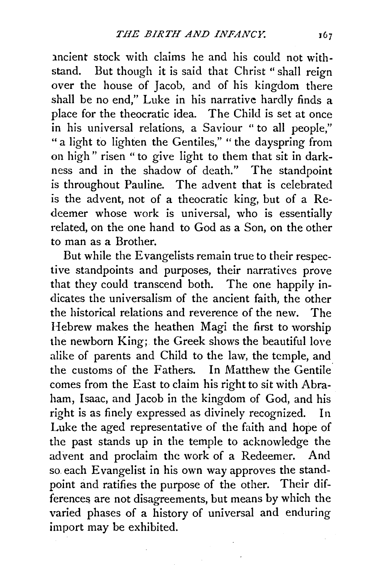1ncient stock with claims he and his could not withstand. But though it is said that Christ " shall reign over the house of Jacob, and of his kingdom there shall be no end," Luke in his narrative hardly finds a place for the theocratic idea. The Child is set at once in his universal relations, a Saviour " to all people," "a light to lighten the Gentiles," " the dayspring from on high" risen "to give light to them that sit in darkness and in the shadow of death." The standpoint is throughout Pauline. The advent that is celebrated is the advent, not of a theocratic king, but of a Redeemer whose work is universal, who is essentially related, on the one hand to God as a Son, on the other to man as a Brother.

But while the Evangelists remain true to their respective standpoints and purposes, their narratives prove that they could transcend both. The one happily indicates the universalism of the ancient faith, the other the historical relations and reverence of the new. The Hebrew makes the heathen Magi the first to worship the newborn King; the Greek shows the beautiful love alike of parents and Child to the law, the temple, and the customs of the Fathers. In Matthew the Gentile comes from the East to claim his right to sit with Abraham, Isaac, and Jacob in the kingdom of God, and his right is as finely expressed as divinely recognized. In Luke the aged representative of the faith and hope of the past stands up in the temple to acknowledge the advent and proclaim the work of a Redeemer. And so each Evangelist in his own way approves the standpoint and ratifies the purpose of the other. Their differences are not disagreements, but means by which the varied phases of a history of universal and enduring import may be exhibited.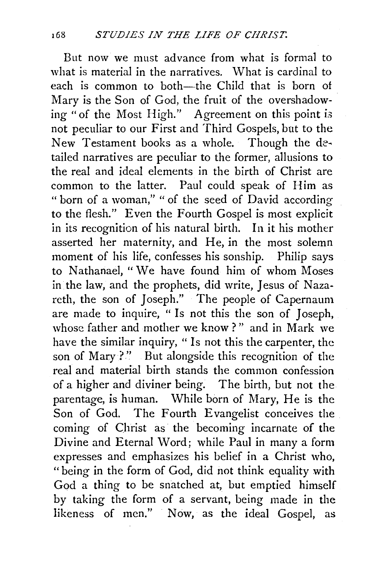But now we must advance from what is formal to what is material in the narratives. What is cardinal to each is common to both—the Child that is born of Mary is the Son of God, the fruit of the overshadowing "of the Most High." Agreement on this point is not peculiar to our First and Third Gospels, but to the New Testament books as a whole. Though the de~ tailed narratives are peculiar to the former, allusions to the real and ideal elements in the birth of Christ are common to the latter. Paul could speak of Him as " born of a woman," " of the seed of David according to the flesh." Even the Fourth Gospel is most explicit in its recognition of his natural birth. In it his mother asserted her maternity, and He, in the most solemn moment of his life, confesses his sonship. Philip says to Nathanael, "We have found him of whom Moses in the law, and the prophets, did write, Jesus of Nazareth, the son of Joseph." The people of Capernaum are made to inquire, " Is not this the son of Joseph, whose father and mother we know?" and in Mark we have the similar inquiry, " Is not this the carpenter, the son of Mary ?" But alongside this recognition of the real and material birth stands the common confession of a higher and diviner being. The birth, but not the parentage, is human. While born of Mary, He is the Son of God. The Fourth Evangelist conceives the coming of Christ as the becoming incarnate of the Divine and Eternal Word; while Paul in many a form expresses and emphasizes his belief in a Christ who, "being in the form of God, did not think equality with God a thing to be snatched at, but emptied himself by taking the form of a servant, being made in the likeness of men." Now, as the ideal Gospel, as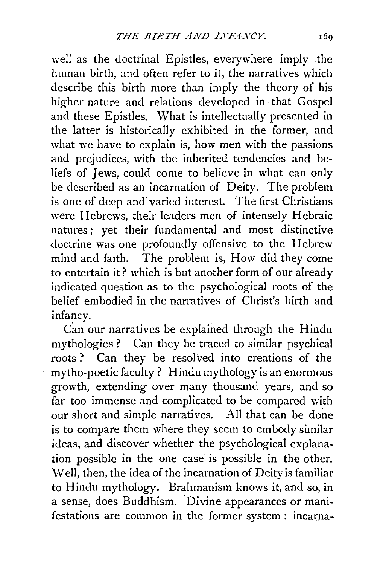well as the doctrinal Epistles, everywhere imply the human birth, and often refer to it, the narratives which describe this birth more than imply the theory of his higher nature and relations developed in ·that Gospel and these Epistles. What is intellectually presented in the latter is historically exhibited in the former, and what we have to explain is, how men with the passions and prejudices, with the inherited tendencies and beliefs of Jews, could come to believe in what can only be described as an incarnation of Deity. The problem is one of deep and varied interest. The first Christians were Hebrews, their leaders men of intensely Hebraic natures ; yet their fundamental and most distinctive doctrine was one profoundly offensive to the Hebrew mind and fatth. The problem is, How did they come to entertain it? which is but another form of our already indicated question as to the psychological roots of the belief embodied in the narratives of Christ's birth and infancy.

Can our narratives be explained through the Hindu mythologies ? Can they be traced to similar psychical roots? Can they be resolved into creations of the mytho-poetic faculty? Hindu mythology is an enormous growth, extending over many thousand years, and so far too immense and complicated to be compared with our short and simple narratives. All that can be done is to compare them where they seem to embody similar ideas, and discover whether the psychological explanation possible in the one case is possible in the other. \V ell, then, the idea of the incarnation of Deity is familiar to Hindu mythology. Brahmanism knows it, and so, in a sense, does Buddhism. Divine appearances or manifestations are common in the former system : incarna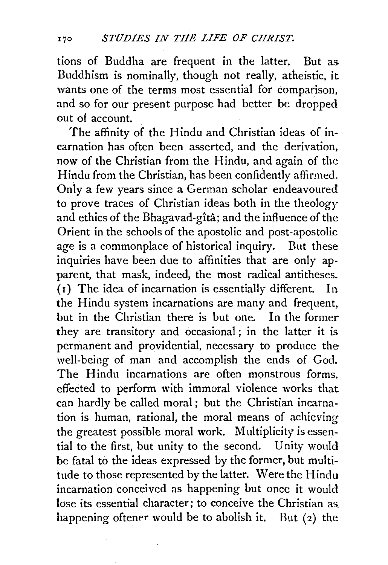tions of Buddha are frequent in the latter. But as Buddhism is nominally, though not really, atheistic, it wants one of the terms most essential for comparison, and so for our present purpose had better be dropped out of account.

The affinity of the Hindu and Christian ideas of incarnation has often been asserted, and the derivation, now of the Christian from the Hindu, and again of the Hindu from the Christian, has been confidently affirmed. Only a few years since a German scholar endeavoured to prove traces of Christian ideas both in the theology and ethics of the Bhagavad-gîtâ; and the influence of the Orient in the schools of the apostolic and post-apostolic age is a commonplace of historical inquiry. But these inquiries have been due to affinities that are only apparent, that mask, indeed, the most radical antitheses. ( 1) The idea of incarnation is essentially different. In the Hindu system incarnations are many and frequent, but in the Christian there is but one. In the former they are transitory and occasional ; in the latter it is permanent and providential, necessary to produce the well-being of man and accomplish the ends of God. The Hindu incarnations are often monstrous forms, effected to perform with immoral violence works that can hardly be called moral ; but the Christian incarnation is human, rational, the moral means of achieving the greatest possible moral work. Multiplicity is essential to the first, but unity to the second. Unity would be fatal to the ideas expressed by the former, but multitude to those represented by the latter. Were the Hindu incarnation conceived as happening but once it would lose its essential character; to conceive the Christian as happening oftener would be to abolish it. But  $(2)$  the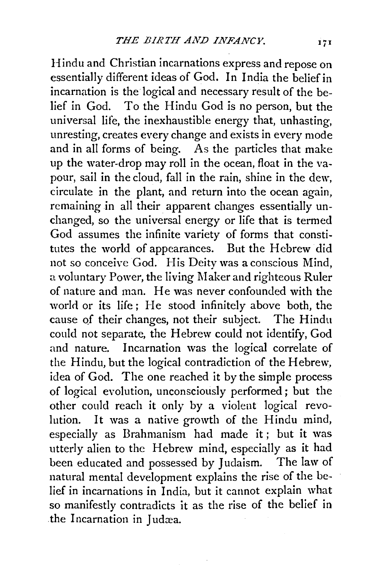Hindu and Christian incarnations express and repose on essentially different ideas of God. In India the belief in incarnation is the logical and necessary result of the belief in God. To the Hindu God is no person, but the universal life, the inexhaustible energy that, unhasting, unresting, creates every change and exists in every mode and in all forms of being. As the particles that make up the water-drop may roll in the ocean, float in the vapour, sail in the cloud, fall in the rain, shine in the dew, circulate in the plant, and return into the ocean again, remaining in all their apparent changes essentially unchanged, so the universal energy or life that is termed God assumes the infinite variety of forms that constitutes the world of appearances. But the Hebrew did not so conceive God. His Deity was a conscious Mind, a voluntary Power, the living Maker and righteous Ruler of nature and man. He was never confounded with the world or its life; He stood infinitely above both, the cause of their changes, not their subject. The Hindu could not separate, the Hebrew could not identify, God and nature. Incarnation was the logical correlate of the Hindu, but the logical contradiction of the Hebrew, idea of God. The one reached it by the simple process of logical evolution, unconsciously performed; but the other could reach it only by a violent logical revolution. It was a native growth of the Hindu mind, especially as Brahmanism had made it; but it was utterly alien to the Hebrew mind, especially as it had been educated and possessed by Judaism. The law of natural mental development explains the rise of the belief in incarnations in India, but it cannot explain what so manifestly contradicts it as the rise of the belief in the Incarnation in Judæa.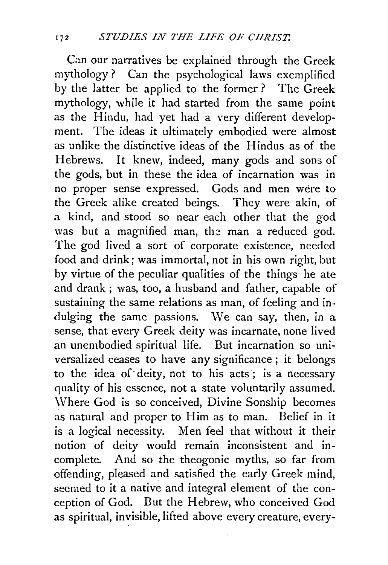Can our narratives be explained through the Greek mythology ? Can the psychological laws exemplified by the latter be applied to the former ? The Greek mythology, while it had started from the same point as the Hindu, had yet had a very different development. The ideas it ultimately embodied were almost as unlike the distinctive ideas of the Hindus as of the Hebrews. It knew, indeed, many gods and sons of the gods, but in these the idea of incarnation was in no proper sense expressed. Gods and men were to the Greek alike created beings. They were akin, of a kind, and stood so near each other that the god was but a magnified man, the man a reduced god. The god lived a sort of corporate existence, needed food and drink; was immortal, not in his own right, but by virtue of the peculiar qualities of the things he ate and drank ; was, too, a husband and father, capable of sustaining the same relations as man, of feeling and indulging the same passions. We can say, then, in a sense, that every Greek deity was incarnate, none lived an unembodied spiritual life. But incarnation so universalized ceases to have any significance ; it belongs to the idea of· deity, not to his acts; is a necessary quality of his essence, not a state voluntarily assumed. \V here God is so conceived, Divine Sonship becomes as natural and proper to Him as to man. Belief in it is a logical necessity. Men feel that without it their notion of deity would remain inconsistent and incomplete. And so the theogonic myths, so far from offending, pleased and satisfied the early Greek mind, seemed to it a native and integral element of the conception of God. But the Hebrew, who conceived God as spiritual, invisible, lifted above every creature, every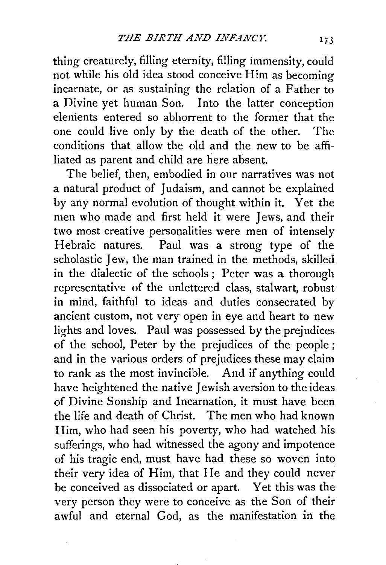thing creaturely, filling eternity, filling immensity, could not while his old idea stood conceive Him as becoming incarnate, or as sustaining the relation of a Father to a Divine yet human Son. Into the latter conception elements entered so abhorrent to the former that the one could live only by the death of the other. The conditions that allow the old and the new to be affiliated as parent and child are here absent.

The belief, then, embodied in our narratives was not a natural product of Judaism, and cannot be explained by any normal evolution of thought within it. Yet the men who made and first held it were Jews, and their two most creative personalities were men of intensely Hebraic natures. Paul was a strong type of the scholastic Jew, the man trained in the methods, skilled in the dialectic of the schools ; Peter was a thorough representative of the unlettered class, stalwart, robust in mind, faithful to ideas and duties consecrated by ancient custom, not very open in eye and heart to new lights and loves. Paul was possessed by the prejudices of the school, Peter by the prejudices of the people ; and in the various orders of prejudices these may claim to rank as the most invincible. And if anything could have heightened the native Jewish aversion to the ideas of Divine Sonship and Incarnation, it must have been the life and death of Christ. The men who had known Him, who had seen his poverty, who had watched his sufferings, who had witnessed the agony and impotence of his tragic end, must have had these so woven into their very idea of Him, that He and they could never be conceived as dissociated or apart. Yet this was the very person they were to conceive as the Son of their awful and eternal God, as the manifestation in the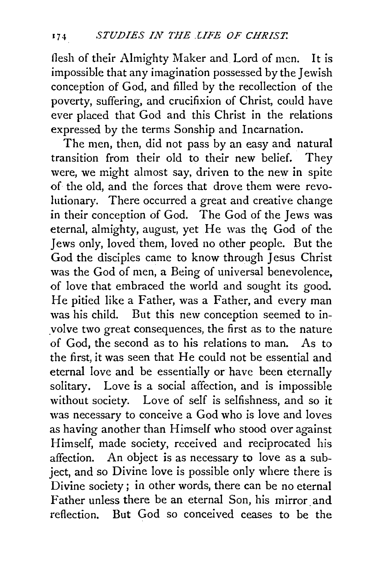flesh of their Almighty Maker and Lord of men. It is impossible that any imagination possessed by the Jewish conception of God, and filled by the recollection of the poverty, suffering, and crucifixion of Christ, could have ever placed that God and this Christ in the relations expressed by the terms Sonship and Incarnation.

The men, then, did not pass by an easy and natural transition from their old to their new belief. They were, we might almost say, driven to the new in spite of the old, and the forces that drove them were revolutionary. There occurred a great and creative change in their conception of God. The God of the Jews was eternal, almighty, august, yet He was the God of the Jews only, loved them, loved no other people. But the God the disciples came to know through Jesus Christ was the God of men, a Being of universal benevolence, of love that embraced the world and sought its good. He pitied like a Father, was a Father, and every man was his child. But this new conception seemed to inyolve two great consequences, the first as to the nature of God, the second as to his relations to man. As to the first, it was seen that He could not be essential and eternal love and be essentially or have been eternally solitary. Love is a social affection, and is impossible without society. Love of self is selfishness, and so it was necessary to conceive a God who is love and loves as having another than Himself who stood over against Himself, made society, received and reciprocated his affection. An object is as necessary to love as a subject, and so Divine love is possible only where there is Divine society *;* in other words, there can be no eternal Father unless there be an eternal Son, his mirror and reflection. But God so conceived ceases to be the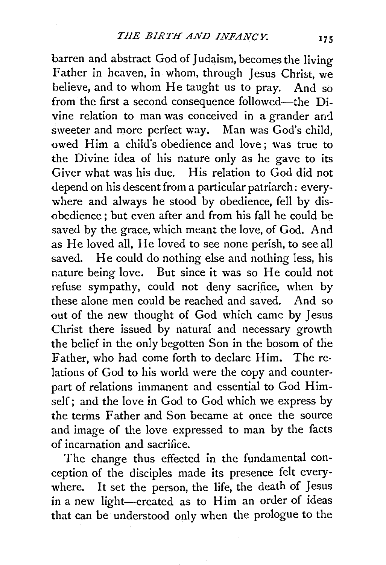barren and abstract God of Judaism, becomes the living Father in heaven, in whom, through Jesus Christ, we believe, and to whom He taught us to pray. And so from the first a second consequence followed—the Divine relation to man was conceived in a grander and sweeter and more perfect way. Man was God's child, owed Him a child's obedience and love; was true to the Divine idea of his nature only as he gave to its Giver what was his due. His relation to God did not depend on his descent from a particular patriarch: everywhere and always he stood by obedience, fell by disobedience ; but even after and from his fall he could be saved by the grace, which meant the love, of God. And as He loved all, He loved to see none perish, to see all saved. He could do nothing else and nothing less, his nature being love. But since it was so He could not refuse sympathy, could not deny sacrifice, when by these alone men could be reached and saved. And so out of the new thought of God which came by Jesus Christ there issued by natural and necessary growth the belief in the only begotten Son in the bosom of the Father, who had come forth to declare Him. The relations of God to his world were the copy and counterpart of relations immanent and essential to God Himself; and the love in God to God which we express by the terms Father and Son became at once the source and image of the love expressed to man by the facts of incarnation and sacrifice.

The change thus effected in the fundamental conception of the disciples made its presence felt everywhere. It set the person, the life, the death of Jesus in a new light-created as to Him an order of ideas that can be understood only when the prologue to the